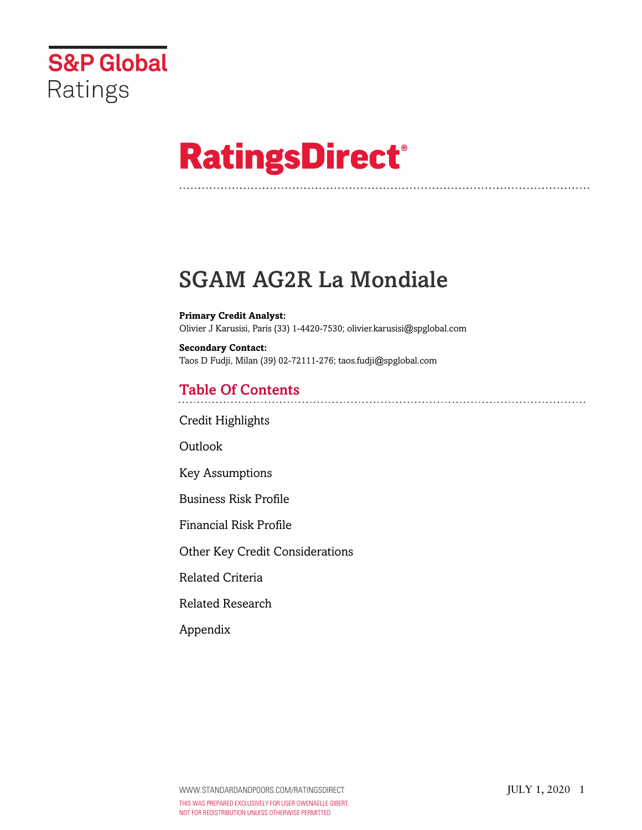

# **RatingsDirect®**

# SGAM AG2R La Mondiale

**Primary Credit Analyst:** Olivier J Karusisi, Paris (33) 1-4420-7530; olivier.karusisi@spglobal.com

**Secondary Contact:** Taos D Fudji, Milan (39) 02-72111-276; taos.fudji@spglobal.com

# Table Of Contents

[Credit Highlights](#page-1-0)

Outlook

[Key Assumptions](#page-2-0)

[Business Risk Profile](#page-3-0)

[Financial Risk Profile](#page-4-0)

[Other Key Credit Considerations](#page-4-1)

[Related Criteria](#page-5-0)

[Related Research](#page-5-1)

[Appendix](#page-5-2)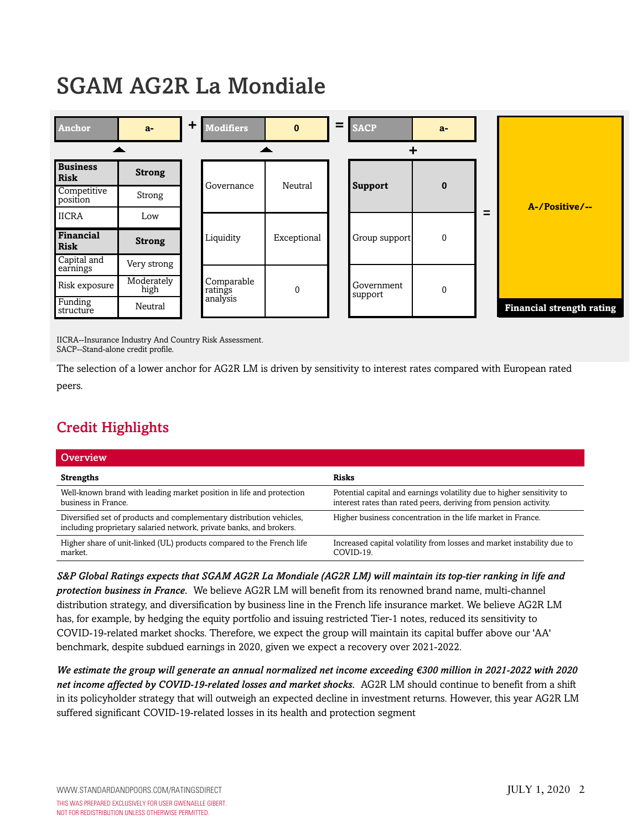# SGAM AG2R La Mondiale



IICRA--Insurance Industry And Country Risk Assessment. SACP--Stand-alone credit profile.

The selection of a lower anchor for AG2R LM is driven by sensitivity to interest rates compared with European rated peers.

# <span id="page-1-0"></span>Credit Highlights

| Overview                                                                                                                                    |                                                                                                                                            |
|---------------------------------------------------------------------------------------------------------------------------------------------|--------------------------------------------------------------------------------------------------------------------------------------------|
| <b>Strengths</b>                                                                                                                            | <b>Risks</b>                                                                                                                               |
| Well-known brand with leading market position in life and protection<br>business in France.                                                 | Potential capital and earnings volatility due to higher sensitivity to<br>interest rates than rated peers, deriving from pension activity. |
| Diversified set of products and complementary distribution vehicles,<br>including proprietary salaried network, private banks, and brokers. | Higher business concentration in the life market in France.                                                                                |
| Higher share of unit-linked (UL) products compared to the French life<br>market.                                                            | Increased capital volatility from losses and market instability due to<br>COVID-19.                                                        |

*S&P Global Ratings expects that SGAM AG2R La Mondiale (AG2R LM) will maintain its top-tier ranking in life and protection business in France.* We believe AG2R LM will benefit from its renowned brand name, multi-channel distribution strategy, and diversification by business line in the French life insurance market. We believe AG2R LM has, for example, by hedging the equity portfolio and issuing restricted Tier-1 notes, reduced its sensitivity to COVID-19-related market shocks. Therefore, we expect the group will maintain its capital buffer above our 'AA' benchmark, despite subdued earnings in 2020, given we expect a recovery over 2021-2022.

*We estimate the group will generate an annual normalized net income exceeding €300 million in 2021-2022 with 2020 net income affected by COVID-19-related losses and market shocks.* AG2R LM should continue to benefit from a shift in its policyholder strategy that will outweigh an expected decline in investment returns. However, this year AG2R LM suffered significant COVID-19-related losses in its health and protection segment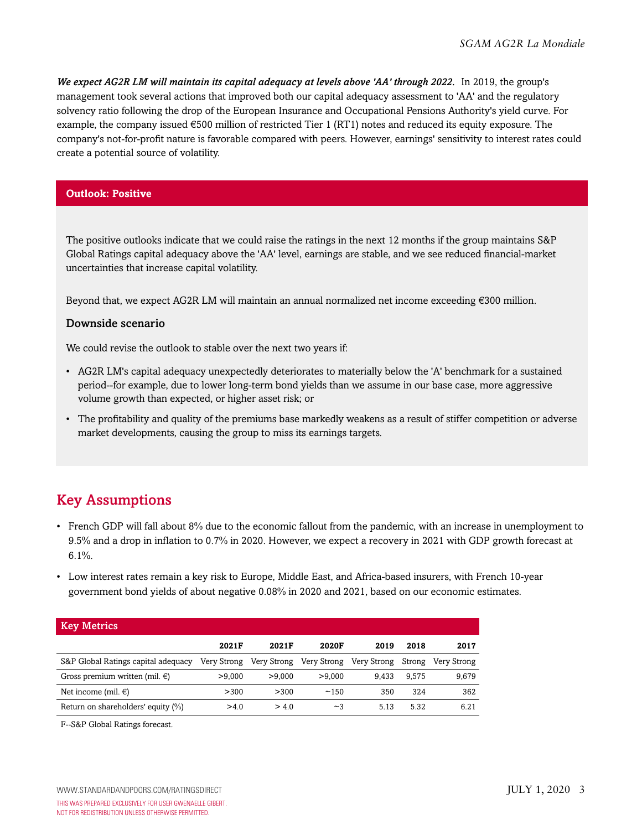*We expect AG2R LM will maintain its capital adequacy at levels above 'AA' through 2022.* In 2019, the group's management took several actions that improved both our capital adequacy assessment to 'AA' and the regulatory solvency ratio following the drop of the European Insurance and Occupational Pensions Authority's yield curve. For example, the company issued  $\epsilon$ 500 million of restricted Tier 1 (RT1) notes and reduced its equity exposure. The company's not-for-profit nature is favorable compared with peers. However, earnings' sensitivity to interest rates could create a potential source of volatility.

#### **Outlook: Positive**

The positive outlooks indicate that we could raise the ratings in the next 12 months if the group maintains S&P Global Ratings capital adequacy above the 'AA' level, earnings are stable, and we see reduced financial-market uncertainties that increase capital volatility.

Beyond that, we expect AG2R LM will maintain an annual normalized net income exceeding €300 million.

#### Downside scenario

We could revise the outlook to stable over the next two years if:

- AG2R LM's capital adequacy unexpectedly deteriorates to materially below the 'A' benchmark for a sustained period--for example, due to lower long-term bond yields than we assume in our base case, more aggressive volume growth than expected, or higher asset risk; or
- The profitability and quality of the premiums base markedly weakens as a result of stiffer competition or adverse market developments, causing the group to miss its earnings targets.

#### <span id="page-2-0"></span>Key Assumptions

- French GDP will fall about 8% due to the economic fallout from the pandemic, with an increase in unemployment to 9.5% and a drop in inflation to 0.7% in 2020. However, we expect a recovery in 2021 with GDP growth forecast at  $6.1\%$ .
- Low interest rates remain a key risk to Europe, Middle East, and Africa-based insurers, with French 10-year government bond yields of about negative 0.08% in 2020 and 2021, based on our economic estimates.

| <b>Key Metrics</b>                  |             |             |             |             |        |             |
|-------------------------------------|-------------|-------------|-------------|-------------|--------|-------------|
|                                     | 2021F       | 2021F       | 2020F       | 2019        | 2018   | 2017        |
| S&P Global Ratings capital adequacy | Very Strong | Very Strong | Very Strong | Very Strong | Strong | Very Strong |
| Gross premium written (mil. $\in$ ) | >9,000      | >9.000      | >9,000      | 9.433       | 9.575  | 9,679       |
| Net income (mil. $\in$ )            | > 300       | > 300       | ~150        | 350         | 324    | 362         |
| Return on shareholders' equity (%)  | >4.0        | > 4.0       | ~2          | 5.13        | 5.32   | 6.21        |

F--S&P Global Ratings forecast.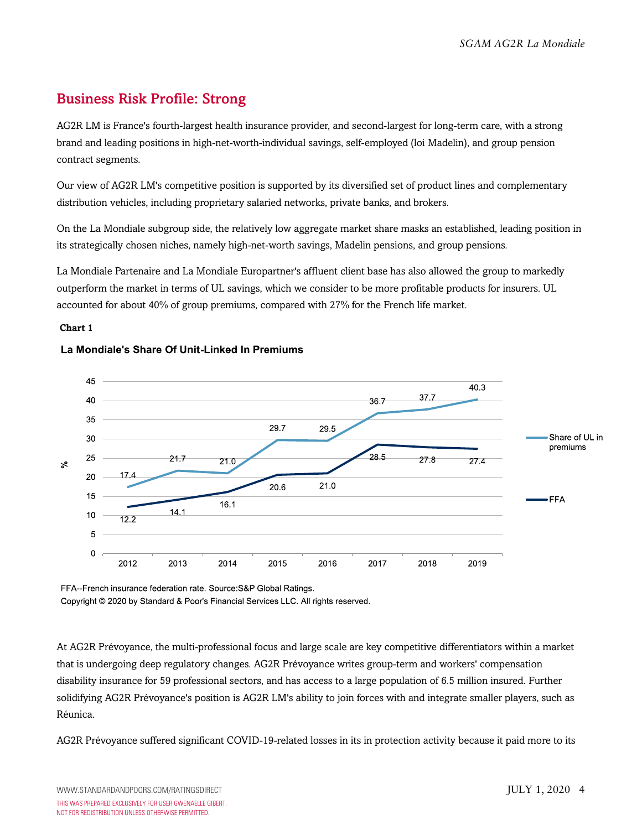# <span id="page-3-0"></span>Business Risk Profile: Strong

AG2R LM is France's fourth-largest health insurance provider, and second-largest for long-term care, with a strong brand and leading positions in high-net-worth-individual savings, self-employed (loi Madelin), and group pension contract segments.

Our view of AG2R LM's competitive position is supported by its diversified set of product lines and complementary distribution vehicles, including proprietary salaried networks, private banks, and brokers.

On the La Mondiale subgroup side, the relatively low aggregate market share masks an established, leading position in its strategically chosen niches, namely high-net-worth savings, Madelin pensions, and group pensions.

La Mondiale Partenaire and La Mondiale Europartner's affluent client base has also allowed the group to markedly outperform the market in terms of UL savings, which we consider to be more profitable products for insurers. UL accounted for about 40% of group premiums, compared with 27% for the French life market.

#### **Chart 1**



#### La Mondiale's Share Of Unit-Linked In Premiums

FFA--French insurance federation rate. Source: S&P Global Ratings.

Copyright © 2020 by Standard & Poor's Financial Services LLC. All rights reserved.

At AG2R Prévoyance, the multi-professional focus and large scale are key competitive differentiators within a market that is undergoing deep regulatory changes. AG2R Prévoyance writes group-term and workers' compensation disability insurance for 59 professional sectors, and has access to a large population of 6.5 million insured. Further solidifying AG2R Prévoyance's position is AG2R LM's ability to join forces with and integrate smaller players, such as Réunica.

AG2R Prévoyance suffered significant COVID-19-related losses in its in protection activity because it paid more to its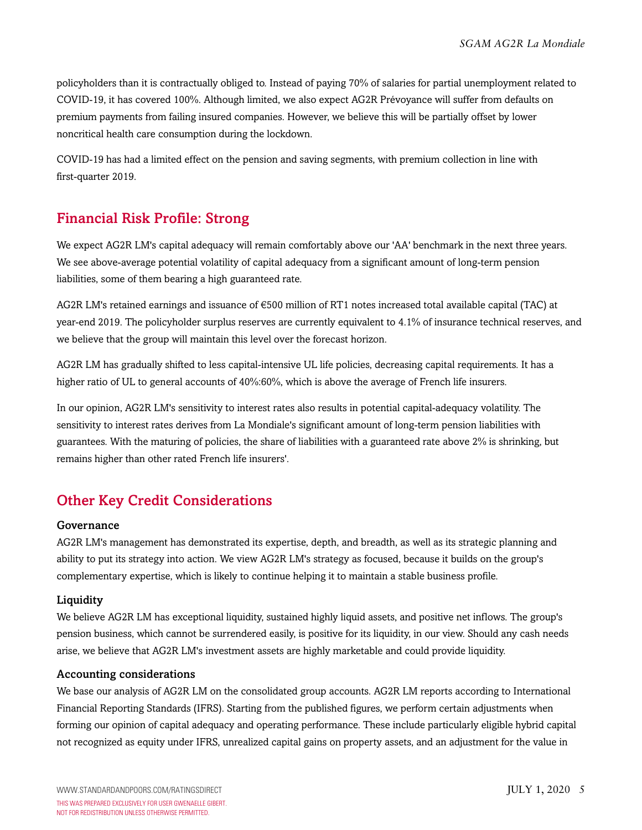policyholders than it is contractually obliged to. Instead of paying 70% of salaries for partial unemployment related to COVID-19, it has covered 100%. Although limited, we also expect AG2R Prévoyance will suffer from defaults on premium payments from failing insured companies. However, we believe this will be partially offset by lower noncritical health care consumption during the lockdown.

COVID-19 has had a limited effect on the pension and saving segments, with premium collection in line with first-quarter 2019.

### <span id="page-4-0"></span>Financial Risk Profile: Strong

We expect AG2R LM's capital adequacy will remain comfortably above our 'AA' benchmark in the next three years. We see above-average potential volatility of capital adequacy from a significant amount of long-term pension liabilities, some of them bearing a high guaranteed rate.

AG2R LM's retained earnings and issuance of €500 million of RT1 notes increased total available capital (TAC) at year-end 2019. The policyholder surplus reserves are currently equivalent to 4.1% of insurance technical reserves, and we believe that the group will maintain this level over the forecast horizon.

AG2R LM has gradually shifted to less capital-intensive UL life policies, decreasing capital requirements. It has a higher ratio of UL to general accounts of 40%:60%, which is above the average of French life insurers.

In our opinion, AG2R LM's sensitivity to interest rates also results in potential capital-adequacy volatility. The sensitivity to interest rates derives from La Mondiale's significant amount of long-term pension liabilities with guarantees. With the maturing of policies, the share of liabilities with a guaranteed rate above 2% is shrinking, but remains higher than other rated French life insurers'.

# <span id="page-4-1"></span>Other Key Credit Considerations

#### Governance

AG2R LM's management has demonstrated its expertise, depth, and breadth, as well as its strategic planning and ability to put its strategy into action. We view AG2R LM's strategy as focused, because it builds on the group's complementary expertise, which is likely to continue helping it to maintain a stable business profile.

#### **Liquidity**

We believe AG2R LM has exceptional liquidity, sustained highly liquid assets, and positive net inflows. The group's pension business, which cannot be surrendered easily, is positive for its liquidity, in our view. Should any cash needs arise, we believe that AG2R LM's investment assets are highly marketable and could provide liquidity.

#### Accounting considerations

We base our analysis of AG2R LM on the consolidated group accounts. AG2R LM reports according to International Financial Reporting Standards (IFRS). Starting from the published figures, we perform certain adjustments when forming our opinion of capital adequacy and operating performance. These include particularly eligible hybrid capital not recognized as equity under IFRS, unrealized capital gains on property assets, and an adjustment for the value in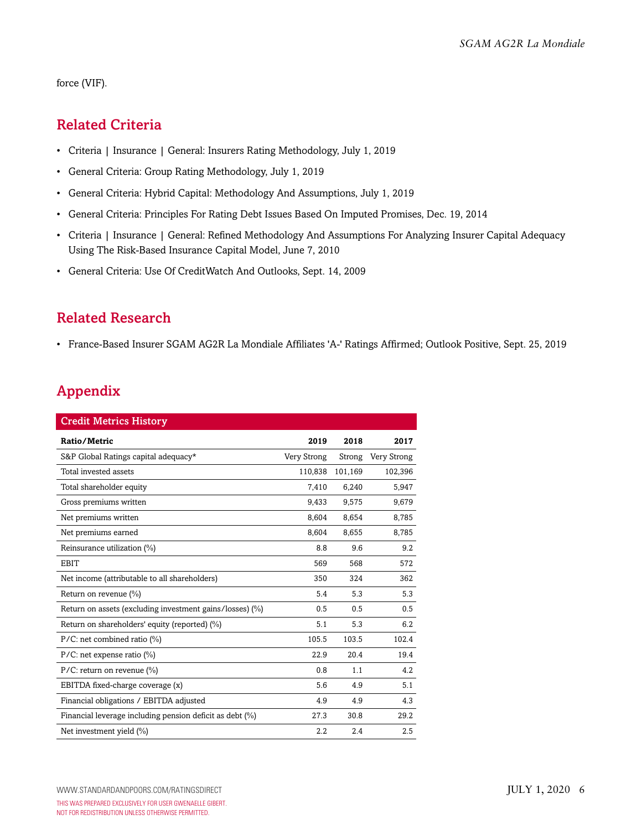<span id="page-5-0"></span>force (VIF).

### Related Criteria

- Criteria | Insurance | General: Insurers Rating Methodology, July 1, 2019
- General Criteria: Group Rating Methodology, July 1, 2019
- General Criteria: Hybrid Capital: Methodology And Assumptions, July 1, 2019
- General Criteria: Principles For Rating Debt Issues Based On Imputed Promises, Dec. 19, 2014
- Criteria | Insurance | General: Refined Methodology And Assumptions For Analyzing Insurer Capital Adequacy Using The Risk-Based Insurance Capital Model, June 7, 2010
- General Criteria: Use Of CreditWatch And Outlooks, Sept. 14, 2009

## <span id="page-5-1"></span>Related Research

• France-Based Insurer SGAM AG2R La Mondiale Affiliates 'A-' Ratings Affirmed; Outlook Positive, Sept. 25, 2019

# <span id="page-5-2"></span>Appendix

| <b>Credit Metrics History</b>                            |             |         |             |  |  |  |
|----------------------------------------------------------|-------------|---------|-------------|--|--|--|
| Ratio/Metric                                             | 2019        | 2018    | 2017        |  |  |  |
| S&P Global Ratings capital adequacy*                     | Very Strong | Strong  | Very Strong |  |  |  |
| Total invested assets                                    | 110,838     | 101,169 | 102,396     |  |  |  |
| Total shareholder equity                                 | 7,410       | 6,240   | 5,947       |  |  |  |
| Gross premiums written                                   | 9,433       | 9,575   | 9.679       |  |  |  |
| Net premiums written                                     | 8,604       | 8.654   | 8,785       |  |  |  |
| Net premiums earned                                      | 8,604       | 8,655   | 8,785       |  |  |  |
| Reinsurance utilization (%)                              | 8.8         | 9.6     | 9.2         |  |  |  |
| <b>EBIT</b>                                              | 569         | 568     | 572         |  |  |  |
| Net income (attributable to all shareholders)            | 350         | 324     | 362         |  |  |  |
| Return on revenue (%)                                    | 5.4         | 5.3     | 5.3         |  |  |  |
| Return on assets (excluding investment gains/losses) (%) | 0.5         | 0.5     | 0.5         |  |  |  |
| Return on shareholders' equity (reported) (%)            | 5.1         | 5.3     | 6.2         |  |  |  |
| $P/C$ : net combined ratio (%)                           | 105.5       | 103.5   | 102.4       |  |  |  |
| $P/C$ : net expense ratio (%)                            | 22.9        | 20.4    | 19.4        |  |  |  |
| $P/C$ : return on revenue (%)                            | 0.8         | 1.1     | 4.2         |  |  |  |
| EBITDA fixed-charge coverage (x)                         | 5.6         | 4.9     | 5.1         |  |  |  |
| Financial obligations / EBITDA adjusted                  | 4.9         | 4.9     | 4.3         |  |  |  |
| Financial leverage including pension deficit as debt (%) | 27.3        | 30.8    | 29.2        |  |  |  |
| Net investment yield (%)                                 | 2.2         | 2.4     | 2.5         |  |  |  |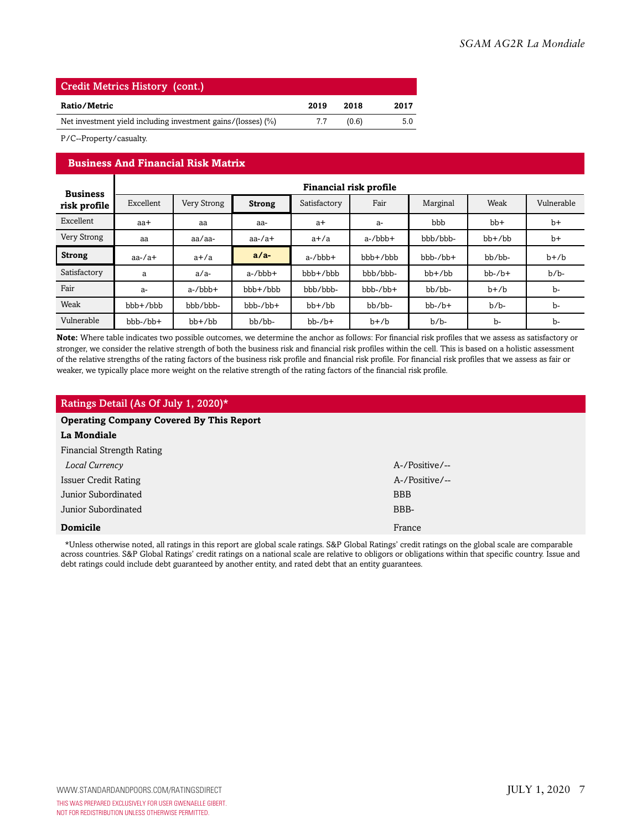| <b>Credit Metrics History (cont.)</b>                        |      |       |      |  |  |
|--------------------------------------------------------------|------|-------|------|--|--|
| Ratio/Metric                                                 | 2019 | 2018  | 2017 |  |  |
| Net investment yield including investment gains/(losses) (%) | 77   | (0.6) | 5.0  |  |  |

P/C--Property/casualty.

#### **Business And Financial Risk Matrix**

| <b>Business</b> | Financial risk profile |              |                |              |              |              |              |            |
|-----------------|------------------------|--------------|----------------|--------------|--------------|--------------|--------------|------------|
| risk profile    | Excellent              | Very Strong  | <b>Strong</b>  | Satisfactory | Fair         | Marginal     | Weak         | Vulnerable |
| Excellent       | aa+                    | aa           | aa-            | $a+$         | $a-$         | bbb          | $bb+$        | $b+$       |
| Very Strong     | aa                     | aa/aa-       | $aa$ -/ $a$ +  | $a+/a$       | $a$ -/ $bbb$ | bbb/bbb-     | $bb+$ / $bb$ | $b+$       |
| <b>Strong</b>   | $aa$ -/ $a$ +          | $a+/a$       | $a/a-$         | $a$ -/ $bbb$ | $bbb + /bbb$ | $bbb-/bb+$   | bb/bb-       | $b+b$      |
| Satisfactory    | a                      | $a/a-$       | $a$ -/ $bbb$ + | $bbb+b$      | bbb/bbb-     | $bb+$ / $bb$ | $bb-7b+$     | $b/b$ -    |
| Fair            | a-                     | $a$ -/ $bbb$ | $bbb+b$        | bbb/bbb-     | $bbb-/bb+$   | bb/bb-       | $b+b$        | b-         |
| Weak            | $bbb + /bbb$           | bbb/bbb-     | $bbb-/bb+$     | $bb+$ / $bb$ | bb/bb-       | $bb-$ / $b+$ | $b/b$ -      | b-         |
| Vulnerable      | $bbb-/bb+$             | $bb+$ / $bb$ | bb/bb-         | $bb-/b+$     | $b+b$        | $b/b$ -      | b-           | b-         |

**Note:** Where table indicates two possible outcomes, we determine the anchor as follows: For financial risk profiles that we assess as satisfactory or stronger, we consider the relative strength of both the business risk and financial risk profiles within the cell. This is based on a holistic assessment of the relative strengths of the rating factors of the business risk profile and financial risk profile. For financial risk profiles that we assess as fair or weaker, we typically place more weight on the relative strength of the rating factors of the financial risk profile.

#### Ratings Detail (As Of July 1, 2020)\* **Operating Company Covered By This Report La Mondiale** Financial Strength Rating *Local Currency* A-/Positive/-- Issuer Credit Rating A-/Positive/-- Junior Subordinated BBB Junior Subordinated BBB-**Domicile** France **France** France **France** France **France** France **France** France **France**

\*Unless otherwise noted, all ratings in this report are global scale ratings. S&P Global Ratings' credit ratings on the global scale are comparable across countries. S&P Global Ratings' credit ratings on a national scale are relative to obligors or obligations within that specific country. Issue and debt ratings could include debt guaranteed by another entity, and rated debt that an entity guarantees.